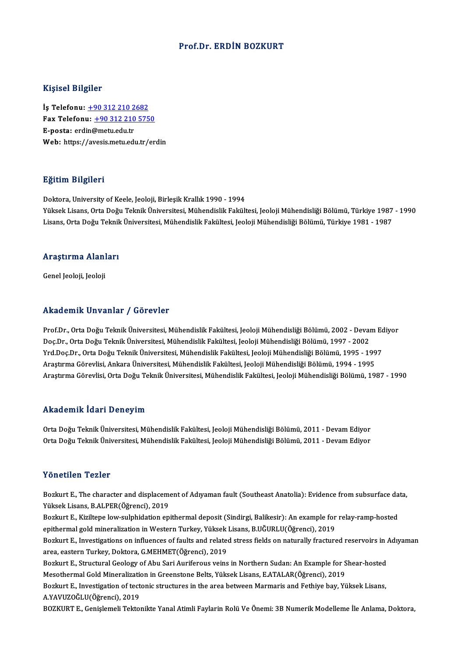### Prof.Dr. ERDİN BOZKURT

### Kişisel Bilgiler

Kişisel Bilgiler<br>İş Telefonu: <u>+90 312 210 2682</u><br>Fax Telefonu: +90 212 210 575 1133001 2115101<br>İş Telefonu: <u>+90 312 210 2682</u><br>Fax Telefonu: <u>+90 312 210 5750</u> İş Telefonu: <u>+90 312 210 2</u><br>Fax Telefonu: <u>+90 312 210</u><br>E-posta: erd[in@metu.edu.tr](tel:+90 312 210 2682)<br>Web: https://avesis.metu.edu Fax Telefonu: <u>+90 312 210 5750</u><br>E-posta: erdin@metu.edu.tr<br>Web: https://a[vesis.metu.edu.tr/er](tel:+90 312 210 5750)din

### Eğitim Bilgileri

Doktora, University of Keele, Jeoloji, Birleşik Krallık 1990 - 1994 25.<br>1998-Yüksek Lisans, Orta Doğu Teknik Üniversitesi, Mühendislik Fakültesi, Jeoloji Mühendisliği Bölümü, Türkiye<br>Lisans, Orta Doğu Teknik Üniversitesi, Mühendislik Fakültesi, Jeoloji Mühendisliği Bölümü, Türkiye 1987 - 1 Doktora, University of Keele, Jeoloji, Birleşik Krallık 1990 - 1994<br>Yüksek Lisans, Orta Doğu Teknik Üniversitesi, Mühendislik Fakültesi, Jeoloji Mühendisliği Bölümü, Türkiye 1987<br>Lisans, Orta Doğu Teknik Üniversitesi, Mühe

## Lisans, orta boğu Teknik<br>Araştırma Alanları <mark>Araştırma Alanl</mark><br>Genel Jeoloji, Jeoloji

# Genel Jeoloji, Jeoloji<br>Akademik Unvanlar / Görevler

Prof.Dr., Orta Doğu Teknik Üniversitesi, Mühendislik Fakültesi, Jeoloji Mühendisliği Bölümü, 2002 - Devam Ediyor Doç.Dr., Orta Doğu Teknik Üniversitesi, Mühendislik Fakültesi, Jeoloji Mühendisliği Bölümü, 1997 - 2002 Prof.Dr., Orta Doğu Teknik Üniversitesi, Mühendislik Fakültesi, Jeoloji Mühendisliği Bölümü, 2002 - Devam Ec<br>Doç.Dr., Orta Doğu Teknik Üniversitesi, Mühendislik Fakültesi, Jeoloji Mühendisliği Bölümü, 1997 - 2002<br>Yrd.Doç.D Doç.Dr., Orta Doğu Teknik Üniversitesi, Mühendislik Fakültesi, Jeoloji Mühendisliği Bölümü, 1997 - 2002<br>Yrd.Doç.Dr., Orta Doğu Teknik Üniversitesi, Mühendislik Fakültesi, Jeoloji Mühendisliği Bölümü, 1995 - 199<br>Araştırma G Yrd.Doç.Dr., Orta Doğu Teknik Üniversitesi, Mühendislik Fakültesi, Jeoloji Mühendisliği Bölümü, 1995 - 1997<br>Araştırma Görevlisi, Ankara Üniversitesi, Mühendislik Fakültesi, Jeoloji Mühendisliği Bölümü, 1994 - 1995<br>Araştırm Araştırma Görevlisi, Orta Doğu Teknik Üniversitesi, Mühendislik Fakültesi, Jeoloji Mühendisliği Bölümü, 1987 - 1990<br>Akademik İdari Deneyim

Akademik İdari Deneyim<br>Orta Doğu Teknik Üniversitesi, Mühendislik Fakültesi, Jeoloji Mühendisliği Bölümü, 2011 - Devam Ediyor<br>Orta Doğu Telmik Üniversitesi, Mühendislik Fakültesi, Jeoloji Mühendisliği Bölümü, 2011 - Devam 1111112 CIIIII TULIT DENEYIII<br>Orta Doğu Teknik Üniversitesi, Mühendislik Fakültesi, Jeoloji Mühendisliği Bölümü, 2011 - Devam Ediyor<br>Orta Doğu Teknik Üniversitesi, Mühendislik Fakültesi, Jeoloji Mühendisliği Bölümü, 2011 -Orta Doğu Teknik Üniversitesi, Mühendislik Fakültesi, Jeoloji Mühendisliği Bölümü, 2011 - Devam Ediyor<br>Yönetilen Tezler

Yönetilen Tezler<br>Bozkurt E., The character and displacement of Adıyaman fault (Southeast Anatolia): Evidence from subsurface data,<br>Yüksek Lisans, B.ALBER(Öğrensi), 2019 Yüksek Lisans, B.ALPER(Öğrenci), 2019 Bozkurt E., The character and displacement of Adıyaman fault (Southeast Anatolia): Evidence from subsurface da<br>Yüksek Lisans, B.ALPER(Öğrenci), 2019<br>Bozkurt E., Kiziltepe low-sulphidation epithermal deposit (Sindirgi, Bali Bozkurt E., Kiziltepe low-sulphidation epithermal deposit (Sindirgi, Balikesir): An example for relay-ramp-hosted<br>epithermal gold mineralization in Western Turkey, Yüksek Lisans, B.UĞURLU(Öğrenci), 2019 Bozkurt E., Kiziltepe low-sulphidation epithermal deposit (Sindirgi, Balikesir): An example for relay-ramp-hosted<br>epithermal gold mineralization in Western Turkey, Yüksek Lisans, B.UĞURLU(Öğrenci), 2019<br>Bozkurt E., Investi epithermal gold mineralization in Western Turkey, Yüksek<br>Bozkurt E., Investigations on influences of faults and relate<br>area, eastern Turkey, Doktora, G.MEHMET(Öğrenci), 2019<br>Bozkurt E. Structurel Coology of Abu Sori Aurifo Bozkurt E., Investigations on influences of faults and related stress fields on naturally fractured reservoirs in *larea, eastern Turkey, Doktora, G.MEHMET*(Öğrenci)*, 2019*<br>Bozkurt E., Structural Geology of Abu Sari Aurif area, eastern Turkey, Doktora, G.MEHMET(Öğrenci), 2019<br>Bozkurt E., Structural Geology of Abu Sari Auriferous veins in Northern Sudan: An Example for S<br>Mesothermal Gold Mineralization in Greenstone Belts, Yüksek Lisans, E.A

Bozkurt E., Structural Geology of Abu Sari Auriferous veins in Northern Sudan: An Example for Shear-hosted<br>Mesothermal Gold Mineralization in Greenstone Belts, Yüksek Lisans, E.ATALAR(Öğrenci), 2019<br>Bozkurt E., Investigati Mesothermal Gold Mineralization<br>Bozkurt E., Investigation of tect<br>A.YAVUZOĞLU(Öğrenci), 2019<br>BOZKUPT E. Conislamali Tekto

BOZKURT E., Genişlemeli Tektonikte Yanal Atimli Faylarin Rolü Ve Önemi: 3B Numerik Modelleme İle Anlama, Doktora,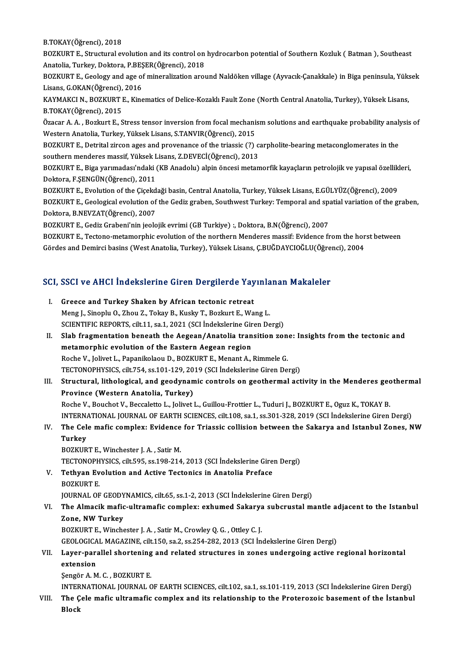B.TOKAY(Öğrenci),2018

B.TOKAY(Öğrenci), 2018<br>BOZKURT E., Structural evolution and its control on hydrocarbon potential of Southern Kozluk ( Batman ), Southeast<br>Anatalia Turkey, Doktora, B.BESER(Öğrenci), 2019 B.TOKAY(Öğrenci), 2018<br>BOZKURT E., Structural evolution and its control on<br>Anatolia, Turkey, Doktora, P.BEŞER(Öğrenci), 2018<br>BOZKUPT E. Coology and age of mineralization ero BOZKURT E., Structural evolution and its control on hydrocarbon potential of Southern Kozluk ( Batman ), Southeast<br>Anatolia, Turkey, Doktora, P.BEŞER(Öğrenci), 2018<br>BOZKURT E., Geology and age of mineralization around Nald

Anatolia, Turkey, Doktora, P.BEŞER(Öğrenci), 2018<br>BOZKURT E., Geology and age of mineralization around Naldöken village (Ayvacık-Çanakkale) in Biga peninsula, Yüksek<br>Lisans, G.OKAN(Öğrenci), 2016 BOZKURT E., Geology and age of mineralization around Naldöken village (Ayvacık-Çanakkale) in Biga peninsula, Yüks<br>Lisans, G.OKAN(Öğrenci), 2016<br>KAYMAKCI N., BOZKURT E., Kinematics of Delice-Kozaklı Fault Zone (North Centra

Lisans, G.OKAN(Öğrenci),<br>KAYMAKCI N., BOZKURT I<br>B.TOKAY(Öğrenci), 2015<br>Özasar A. A., Bozkurt E. S KAYMAKCI N., BOZKURT E., Kinematics of Delice-Kozaklı Fault Zone (North Central Anatolia, Turkey), Yüksek Lisans,<br>B.TOKAY(Öğrenci), 2015<br>Özacar A. A. , Bozkurt E., Stress tensor inversion from focal mechanism solutions and

B.TOKAY(Öğrenci), 2015<br>Özacar A. A. , Bozkurt E., Stress tensor inversion from focal mechanism solutions and earthquake probability analysis of<br>Western Anatolia, Turkey, Yüksek Lisans, S.TANVIR(Öğrenci), 2015 Özacar A. A. , Bozkurt E., Stress tensor inversion from focal mechanism solutions and earthquake probability analy<br>Western Anatolia, Turkey, Yüksek Lisans, S.TANVIR(Öğrenci), 2015<br>BOZKURT E., Detrital zircon ages and prove

Western Anatolia, Turkey, Yüksek Lisans, S.TANVIR(Öğrenci), 2015<br>BOZKURT E., Detrital zircon ages and provenance of the triassic (?) c<br>southern menderes massif, Yüksek Lisans, Z.DEVECİ(Öğrenci), 2013<br>BOZKURT E. Bizə yarıma BOZKURT E., Detrital zircon ages and provenance of the triassic (?) carpholite-bearing metaconglomerates in the<br>southern menderes massif, Yüksek Lisans, Z.DEVECİ(Öğrenci), 2013<br>BOZKURT E., Biga yarımadası'ndaki (KB Anadolu

southern menderes massif, Yüksek Lisans, Z.DEVECİ(Öğrenci), 2013<br>BOZKURT E., Biga yarımadası'ndaki (KB Anadolu) alpin öncesi metamorfik kayaçların petrolojik ve yapısal özellikleri,<br>Doktora, F.ŞENGÜN(Öğrenci), 2011 BOZKURT E., Biga yarımadası'ndaki (KB Anadolu) alpin öncesi metamorfik kayaçların petrolojik ve yapısal özellik<br>Doktora, F.ŞENGÜN(Öğrenci), 2011<br>BOZKURT E., Evolution of the Çiçekdaği basin, Central Anatolia, Turkey, Yükse

Doktora, F.ŞENGÜN(Öğrenci), 2011<br>BOZKURT E., Evolution of the Çiçekdaği basin, Central Anatolia, Turkey, Yüksek Lisans, E.GÜLYÜZ(Öğrenci), 2009<br>BOZKURT E., Geological evolution of the Gediz graben, Southwest Turkey: Tempor BOZKURT E., Evolution of the Çiçekd<br>BOZKURT E., Geological evolution of<br>Doktora, B.NEVZAT(Öğrenci), 2007<br>BOZKUPT E. Cedir Crebeni'nin isolo BOZKURT E., Geological evolution of the Gediz graben, Southwest Turkey: Temporal and spa<br>Doktora, B.NEVZAT(Öğrenci), 2007<br>BOZKURT E., Gediz Grabeni'nin jeolojik evrimi (GB Turkiye) :, Doktora, B.N(Öğrenci), 2007<br>BOZKURT E. Doktora, B.NEVZAT(Öğrenci), 2007<br>BOZKURT E., Gediz Grabeni'nin jeolojik evrimi (GB Turkiye) :, Doktora, B.N(Öğrenci), 2007<br>BOZKURT E., Tectono-metamorphic evolution of the northern Menderes massif: Evidence from the horst

Gördes andDemircibasins (WestAnatolia,Turkey),YüksekLisans,Ç.BUĞDAYCIOĞLU(Öğrenci),2004

# uordes and Demirci basins (west Anatolia, Turkey), Yuksek Lisans, Ç.BUGDAYCIOGLU(Ogre<br>SCI, SSCI ve AHCI İndekslerine Giren Dergilerde Yayınlanan Makaleler

| SCI, SSCI ve AHCI İndekslerine Giren Dergilerde Yayınlanan Makaleler |                                                                                                                |  |
|----------------------------------------------------------------------|----------------------------------------------------------------------------------------------------------------|--|
| L                                                                    | Greece and Turkey Shaken by African tectonic retreat                                                           |  |
|                                                                      | Meng J., Sinoplu O., Zhou Z., Tokay B., Kusky T., Bozkurt E., Wang L.                                          |  |
|                                                                      | SCIENTIFIC REPORTS, cilt.11, sa.1, 2021 (SCI İndekslerine Giren Dergi)                                         |  |
| П.                                                                   | Slab fragmentation beneath the Aegean/Anatolia transition zone: Insights from the tectonic and                 |  |
|                                                                      | metamorphic evolution of the Eastern Aegean region                                                             |  |
|                                                                      | Roche V., Jolivet L., Papanikolaou D., BOZKURT E., Menant A., Rimmele G.                                       |  |
|                                                                      | TECTONOPHYSICS, cilt.754, ss.101-129, 2019 (SCI İndekslerine Giren Dergi)                                      |  |
| III.                                                                 | Structural, lithological, and geodynamic controls on geothermal activity in the Menderes geothermal            |  |
|                                                                      | Province (Western Anatolia, Turkey)                                                                            |  |
|                                                                      | Roche V., Bouchot V., Beccaletto L., Jolivet L., Guillou-Frottier L., Tuduri J., BOZKURT E., Oguz K., TOKAY B. |  |
|                                                                      | INTERNATIONAL JOURNAL OF EARTH SCIENCES, cilt.108, sa.1, ss.301-328, 2019 (SCI Indekslerine Giren Dergi)       |  |
| IV.                                                                  | The Cele mafic complex: Evidence for Triassic collision between the Sakarya and Istanbul Zones, NW             |  |
|                                                                      | <b>Turkey</b>                                                                                                  |  |
|                                                                      | BOZKURT E., Winchester J. A., Satir M.                                                                         |  |
|                                                                      | TECTONOPHYSICS, cilt.595, ss.198-214, 2013 (SCI İndekslerine Giren Dergi)                                      |  |
| V.                                                                   | Tethyan Evolution and Active Tectonics in Anatolia Preface                                                     |  |
|                                                                      | <b>BOZKURT E</b>                                                                                               |  |
|                                                                      | JOURNAL OF GEODYNAMICS, cilt.65, ss.1-2, 2013 (SCI Indekslerine Giren Dergi)                                   |  |
| VI.                                                                  | The Almacik mafic-ultramafic complex: exhumed Sakarya subcrustal mantle adjacent to the Istanbul               |  |
|                                                                      | Zone, NW Turkey                                                                                                |  |
|                                                                      | BOZKURT E., Winchester J. A., Satir M., Crowley Q. G., Ottley C. J.                                            |  |
|                                                                      | GEOLOGICAL MAGAZINE, cilt.150, sa.2, ss.254-282, 2013 (SCI İndekslerine Giren Dergi)                           |  |
| VII.                                                                 | Layer-parallel shortening and related structures in zones undergoing active regional horizontal                |  |
|                                                                      | extension                                                                                                      |  |
|                                                                      | Sengör A. M. C., BOZKURT E.                                                                                    |  |
|                                                                      | INTERNATIONAL JOURNAL OF EARTH SCIENCES, cilt.102, sa.1, ss.101-119, 2013 (SCI Indekslerine Giren Dergi)       |  |
| VIII.                                                                | The Cele mafic ultramafic complex and its relationship to the Proterozoic basement of the Istanbul             |  |

Block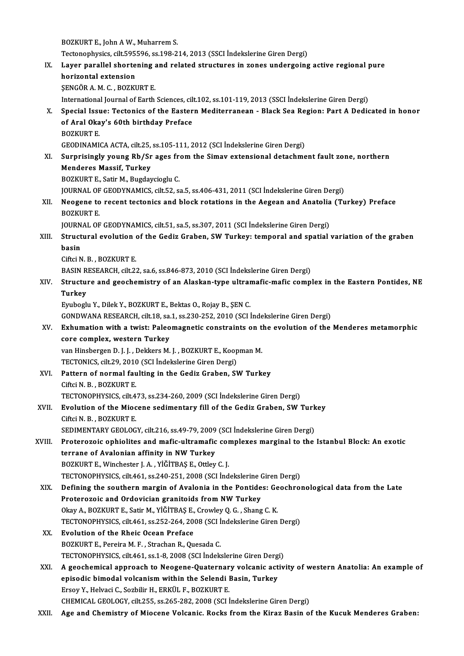BOZKURT E., John A W., Muharrem S. BOZKURT E., John A W., Muharrem S.<br>Tectonophysics, cilt.595596, ss.198-214, 2013 (SSCI İndekslerine Giren Dergi)<br>Laven parallel shartaning and related structures in ganes undergeing IX. Layer parallel shortening and related structures in zones undergoing active regional pure<br>horizontal extension Tectonophysics, cilt.595<br>Layer parallel shorte<br>horizontal extension<br>SENCÕR A M G - BOZKI ŞENGÖRA.M.C. ,BOZKURTE. International Journal of Earth Sciences, cilt.102, ss.101-119, 2013 (SSCI İndekslerine Giren Dergi) SENGÖR A. M. C. , BOZKURT E.<br>International Journal of Earth Sciences, cilt.102, ss.101-119, 2013 (SSCI İndekslerine Giren Dergi)<br>X. Special Issue: Tectonics of the Eastern Mediterranean - Black Sea Region: Part A Dedic International Journal of Earth Sciences, cil<br>Special Issue: Tectonics of the Easter<br>of Aral Okay's 60th birthday Preface<br>POZKUPT F Special Iss<mark>t</mark><br>of Aral Oka<br>BOZKURT E.<br>CEODIMAM! of Aral Okay's 60th birthday Preface<br>BOZKURT E.<br>GEODINAMICA ACTA, cilt.25, ss.105-111, 2012 (SCI İndekslerine Giren Dergi) BOZKURT E.<br>GEODINAMICA ACTA, cilt.25, ss.105-111, 2012 (SCI İndekslerine Giren Dergi)<br>XI. Surprisingly young Rb/Sr ages from the Simav extensional detachment fault zone, northern<br>Mondones Massif, Turkey GEODINAMICA ACTA, cilt.25,<br>Surprisingly young Rb/Sr<br>Menderes Massif, Turkey<br>POZKUPT E. Satir M. Bugday Surprisingly young Rb/Sr ages freed<br>Menderes Massif, Turkey<br>BOZKURT E., Satir M., Bugdaycioglu C.<br>JOURNAL OF CEODYNAMICS silt 52 S Menderes Massif, Turkey<br>BOZKURT E., Satir M., Bugdaycioglu C.<br>JOURNAL OF GEODYNAMICS, cilt.52, sa.5, ss.406-431, 2011 (SCI İndekslerine Giren Dergi)<br>Neogene te resent testenise and bloek retations in the Asseen and Ansteli BOZKURT E., Satir M., Bugdaycioglu C.<br>JOURNAL OF GEODYNAMICS, cilt.52, sa.5, ss.406-431, 2011 (SCI İndekslerine Giren Dergi)<br>XII. Neogene to recent tectonics and block rotations in the Aegean and Anatolia (Turkey) Pref **JOURNAL OF<br>Neogene to<br>BOZKURT E.<br>JOURNAL OF** Neogene to recent tectonics and block rotations in the Aegean and Anatolia<br>BOZKURT E.<br>JOURNAL OF GEODYNAMICS, cilt.51, sa.5, ss.307, 2011 (SCI İndekslerine Giren Dergi)<br>Structural avalution of the Codir Crabon, SW Turkey, BOZKURT E.<br>JOURNAL OF GEODYNAMICS, cilt.51, sa.5, ss.307, 2011 (SCI İndekslerine Giren Dergi)<br>XIII. Structural evolution of the Gediz Graben, SW Turkey: temporal and spatial variation of the graben<br>hagin JOURN<br><mark>Struct</mark><br>basin Structural evolution<br>basin<br>Ciftci N. B. , BOZKURT E.<br>BASIN BESEARCH silt 2: basin<br>Ciftci N. B. , BOZKURT E.<br>BASIN RESEARCH, cilt.22, sa.6, ss.846-873, 2010 (SCI İndekslerine Giren Dergi)<br>Structure and geochemistry of an Alaskan tune ultramafic mafic somni Ciftci N. B. , BOZKURT E.<br>BASIN RESEARCH, cilt.22, sa.6, ss.846-873, 2010 (SCI Indekslerine Giren Dergi)<br>XIV. Structure and geochemistry of an Alaskan-type ultramafic-mafic complex in the Eastern Pontides, NE<br>Turkey BASIN R<br>Structu:<br>Turkey<br><sup>Furboo</sup>l: EyubogluY.,DilekY.,BOZKURTE.,BektasO.,RojayB.,ŞENC. Turkey<br>Eyuboglu Y., Dilek Y., BOZKURT E., Bektas O., Rojay B., ŞEN C.<br>GONDWANA RESEARCH, cilt.18, sa.1, ss.230-252, 2010 (SCI İndekslerine Giren Dergi)<br>Exhumation with a twist: Balaemagnetis sonstraints en the evolution of Eyuboglu Y., Dilek Y., BOZKURT E., Bektas O., Rojay B., ŞEN C.<br>GONDWANA RESEARCH, cilt.18, sa.1, ss.230-252, 2010 (SCI İndekslerine Giren Dergi)<br>XV. Exhumation with a twist: Paleomagnetic constraints on the evolution of th GONDWANA RESEARCH, cilt.18, sa.<br>Exhumation with a twist: Paleo<br>core complex, western Turkey Exhumation with a twist: Paleomagnetic constraints on the<br>core complex, western Turkey<br>van Hinsbergen D. J. J. , Dekkers M. J. , BOZKURT E., Koopman M.<br>TECTONICS silt 29, 2010 (SCL indekalaring Giron Dorgi) core complex, western Turkey<br>van Hinsbergen D. J. J. , Dekkers M. J. , BOZKURT E., Koop<br>TECTONICS, cilt.29, 2010 (SCI İndekslerine Giren Dergi)<br>Pettern of normal foulting in the Cedir Crabon, SL van Hinsbergen D. J. J., Dekkers M. J., BOZKURT E., Koopman M.<br>TECTONICS, cilt.29, 2010 (SCI İndekslerine Giren Dergi)<br>XVI. Pattern of normal faulting in the Gediz Graben, SW Turkey<br>Ciftci N. B., BOZKURT E. TECTONICS, cilt.29, 2010<br>Pattern of normal fau<br>Ciftci N. B., BOZKURT E.<br>TECTONOPHYSICS, silt 4 Pattern of normal faulting in the Gediz Graben, SW Turkey<br>Ciftci N. B., BOZKURT E.<br>TECTONOPHYSICS, cilt.473, ss.234-260, 2009 (SCI İndekslerine Giren Dergi)<br>Fyolution of the Miesene aedimentary fill of the Cediz Craben, SW Ciftci N. B., BOZKURT E.<br>TECTONOPHYSICS, cilt.473, ss.234-260, 2009 (SCI İndekslerine Giren Dergi)<br>XVII. Evolution of the Miocene sedimentary fill of the Gediz Graben, SW Turkey<br>Citri N. B., BOZKURT E. TECTONOPHYSICS, cilt.4<br>Evolution of the Mioc<br>Ciftci N. B. , BOZKURT E.<br>SEDIMENTARY CEOLOC Evolution of the Miocene sedimentary fill of the Gediz Graben, SW Turk<br>Ciftci N. B., BOZKURT E.<br>SEDIMENTARY GEOLOGY, cilt.216, ss.49-79, 2009 (SCI İndekslerine Giren Dergi)<br>Pretenaraja enhialitas and mafis ultramafis sempl Ciftci N. B., BOZKURT E.<br>SEDIMENTARY GEOLOGY, cilt.216, ss.49-79, 2009 (SCI İndekslerine Giren Dergi)<br>XVIII. Proterozoic ophiolites and mafic-ultramafic complexes marginal to the Istanbul Block: An exotic<br>terrane of Avalon SEDIMENTARY GEOLOGY, cilt.216, ss.49-79, 2009 (SCI İndekslerine Giren Dergi) BOZKURT E., Winchester J. A., YİĞİTBAŞ E., Ottley C. J. terrane of Avalonian affinity in NW Turkey<br>BOZKURT E., Winchester J. A. , YİĞİTBAŞ E., Ottley C. J.<br>TECTONOPHYSICS, cilt.461, ss.240-251, 2008 (SCI İndekslerine Giren Dergi)<br>Dofining the southern margin of Avalonia in the BOZKURT E., Winchester J. A. , YİĞİTBAŞ E., Ottley C. J.<br>TECTONOPHYSICS, cilt.461, ss.240-251, 2008 (SCI İndekslerine Giren Dergi)<br>XIX. Defining the southern margin of Avalonia in the Pontides: Geochronological data from t TECTONOPHYSICS, cilt.461, ss.240-251, 2008 (SCI İndekslerine (<br>Defining the southern margin of Avalonia in the Pontide<br>Proterozoic and Ordovician granitoids from NW Turkey<br>Olav A. BOZKUPT E. Satir M. VičiTPAS E. Crowlav O. Defining the southern margin of Avalonia in the Pontides: Ge<br>Proterozoic and Ordovician granitoids from NW Turkey<br>Okay A., BOZKURT E., Satir M., YİĞİTBAŞ E., Crowley Q.G., Shang C.K.<br>TECTONOPHYSICS silt 461 ss 252 264 2008 Proterozoic and Ordovician granitoids from NW Turkey<br>Okay A., BOZKURT E., Satir M., YİĞİTBAŞ E., Crowley Q. G. , Shang C. K.<br>TECTONOPHYSICS, cilt.461, ss.252-264, 2008 (SCI İndekslerine Giren Dergi)<br>Fyolution of the Phois Okay A., BOZKURT E., Satir M., YİĞİTBAŞ E., Crowley Q. G. , Shang C. K.<br>TECTONOPHYSICS, cilt.461, ss.252-264, 2008 (SCI İndekslerine Giren<br>XX. Evolution of the Rheic Ocean Preface<br>BOZKURT E., Pereira M. F. , Strachan R., O TECTONOPHYSICS, cilt.461, ss.252-264, 2008 (SCI İ<br>Evolution of the Rheic Ocean Preface<br>BOZKURT E., Pereira M. F. , Strachan R., Quesada C.<br>TECTONOPHYSICS, silt 461, ss.1, 8, 2008 (SCI İndeli TECTONOPHYSICS, cilt.461, ss.1-8, 2008 (SCI İndekslerine Giren Dergi) XXI. A geochemical approach to Neogene-Quaternary volcanic activity of western Anatolia: An example of TECTONOPHYSICS, cilt.461, ss.1-8, 2008 (SCI İndekslerine Giren Derg<br>A geochemical approach to Neogene-Quaternary volcanic act<br>episodic bimodal volcanism within the Selendi Basin, Turkey<br>Freev Y. Helyesi C. Serbilin H. EDKÜ A geochemical approach to Neogene-Quaternar<br>episodic bimodal volcanism within the Selendi l<br>Ersoy Y., Helvaci C., Sozbilir H., ERKÜL F., BOZKURT E.<br>CHEMICAL CEOLOCY silt 255 ss 265 292 2009 (SCLI Ersoy Y., Helvaci C., Sozbilir H., ERKÜL F., BOZKURT E.<br>CHEMICAL GEOLOGY, cilt.255, ss.265-282, 2008 (SCI İndekslerine Giren Dergi) XXII. Age and Chemistry of Miocene Volcanic. Rocks from the Kiraz Basin of the Kucuk Menderes Graben: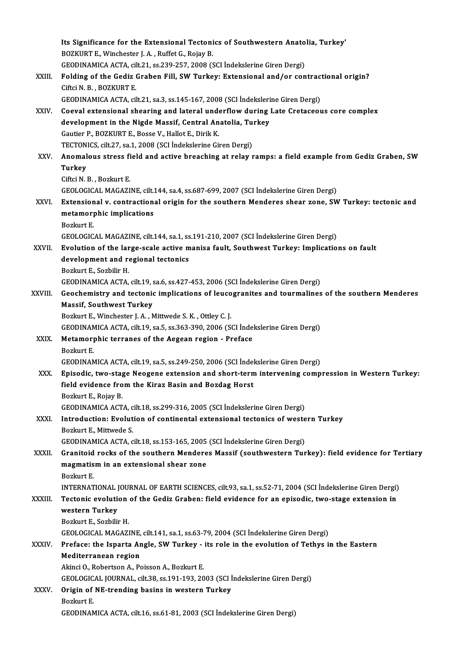|              | Its Significance for the Extensional Tectonics of Southwestern Anatolia, Turkey'                      |
|--------------|-------------------------------------------------------------------------------------------------------|
|              | BOZKURT E., Winchester J. A., Ruffet G., Rojay B.                                                     |
|              | GEODINAMICA ACTA, cilt.21, ss.239-257, 2008 (SCI Indekslerine Giren Dergi)                            |
| XXIII.       | Folding of the Gediz Graben Fill, SW Turkey: Extensional and/or contractional origin?                 |
|              | Ciftci N. B., BOZKURT E.                                                                              |
|              | GEODINAMICA ACTA, cilt.21, sa.3, ss.145-167, 2008 (SCI İndekslerine Giren Dergi)                      |
| XXIV.        | Coeval extensional shearing and lateral underflow during Late Cretaceous core complex                 |
|              | development in the Nigde Massif, Central Anatolia, Turkey                                             |
|              | Gautier P., BOZKURT E., Bosse V., Hallot E., Dirik K.                                                 |
|              | TECTONICS, cilt.27, sa.1, 2008 (SCI İndekslerine Giren Dergi)                                         |
| XXV.         | Anomalous stress field and active breaching at relay ramps: a field example from Gediz Graben, SW     |
|              | <b>Turkey</b>                                                                                         |
|              | Ciftci N B , Bozkurt E                                                                                |
|              | GEOLOGICAL MAGAZINE, cilt.144, sa.4, ss.687-699, 2007 (SCI Indekslerine Giren Dergi)                  |
| XXVI.        | Extensional v. contractional origin for the southern Menderes shear zone, SW Turkey: tectonic and     |
|              | metamorphic implications                                                                              |
|              | Bozkurt E.                                                                                            |
|              | GEOLOGICAL MAGAZINE, cilt.144, sa.1, ss.191-210, 2007 (SCI Indekslerine Giren Dergi)                  |
| XXVII.       | Evolution of the large-scale active manisa fault, Southwest Turkey: Implications on fault             |
|              | development and regional tectonics                                                                    |
|              | Bozkurt E., Sozbilir H.                                                                               |
|              | GEODINAMICA ACTA, cilt.19, sa.6, ss.427-453, 2006 (SCI Indekslerine Giren Dergi)                      |
| XXVIII.      | Geochemistry and tectonic implications of leucogranites and tourmalines of the southern Menderes      |
|              | <b>Massif, Southwest Turkey</b>                                                                       |
|              | Bozkurt E., Winchester J. A., Mittwede S. K., Ottley C. J.                                            |
|              | GEODINAMICA ACTA, cilt.19, sa.5, ss.363-390, 2006 (SCI İndekslerine Giren Dergi)                      |
| XXIX.        | Metamorphic terranes of the Aegean region - Preface                                                   |
|              | <b>Bozkurt E</b>                                                                                      |
|              | GEODINAMICA ACTA, cilt.19, sa.5, ss.249-250, 2006 (SCI İndekslerine Giren Dergi)                      |
| XXX.         | Episodic, two-stage Neogene extension and short-term intervening compression in Western Turkey:       |
|              | field evidence from the Kiraz Basin and Bozdag Horst                                                  |
|              | Bozkurt E, Rojay B.<br>GEODINAMICA ACTA, cilt.18, ss.299-316, 2005 (SCI Indekslerine Giren Dergi)     |
| XXXI.        | Introduction: Evolution of continental extensional tectonics of western Turkey                        |
|              | Bozkurt E., Mittwede S.                                                                               |
|              | GEODINAMICA ACTA, cilt.18, ss.153-165, 2005 (SCI Indekslerine Giren Dergi)                            |
| XXXII.       | Granitoid rocks of the southern Menderes Massif (southwestern Turkey): field evidence for Tertiary    |
|              | magmatism in an extensional shear zone                                                                |
|              | Bozkurt E                                                                                             |
|              | INTERNATIONAL JOURNAL OF EARTH SCIENCES, cilt.93, sa.1, ss.52-71, 2004 (SCI İndekslerine Giren Dergi) |
| XXXIII.      | Tectonic evolution of the Gediz Graben: field evidence for an episodic, two-stage extension in        |
|              | western Turkey                                                                                        |
|              | Bozkurt E., Sozbilir H.                                                                               |
|              | GEOLOGICAL MAGAZINE, cilt.141, sa.1, ss.63-79, 2004 (SCI İndekslerine Giren Dergi)                    |
| <b>XXXIV</b> | Preface: the Isparta Angle, SW Turkey - its role in the evolution of Tethys in the Eastern            |
|              | Mediterranean region                                                                                  |
|              | Akinci O., Robertson A., Poisson A., Bozkurt E.                                                       |
|              | GEOLOGICAL JOURNAL, cilt.38, ss.191-193, 2003 (SCI Indekslerine Giren Dergi)                          |
| XXXV.        | Origin of NE-trending basins in western Turkey                                                        |
|              | Bozkurt E.                                                                                            |
|              | GEODINAMICA ACTA, cilt.16, ss.61-81, 2003 (SCI Indekslerine Giren Dergi)                              |
|              |                                                                                                       |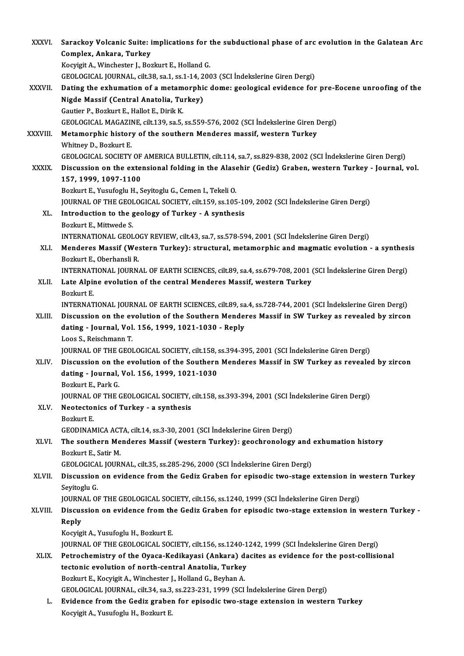| <b>XXXVI</b> | Sarackoy Volcanic Suite: implications for the subductional phase of arc evolution in the Galatean Arc                                                                           |
|--------------|---------------------------------------------------------------------------------------------------------------------------------------------------------------------------------|
|              | Complex, Ankara, Turkey                                                                                                                                                         |
|              | Kocyigit A., Winchester J., Bozkurt E., Holland G.                                                                                                                              |
|              | GEOLOGICAL JOURNAL, cilt.38, sa.1, ss.1-14, 2003 (SCI Indekslerine Giren Dergi)                                                                                                 |
| XXXVII.      | Dating the exhumation of a metamorphic dome: geological evidence for pre-Eocene unroofing of the                                                                                |
|              | Nigde Massif (Central Anatolia, Turkey)                                                                                                                                         |
|              | Gautier P., Bozkurt E., Hallot E., Dirik K.                                                                                                                                     |
|              | GEOLOGICAL MAGAZINE, cilt.139, sa.5, ss.559-576, 2002 (SCI İndekslerine Giren Dergi)                                                                                            |
| XXXVIII.     | Metamorphic history of the southern Menderes massif, western Turkey                                                                                                             |
|              | Whitney D., Bozkurt E.                                                                                                                                                          |
|              | GEOLOGICAL SOCIETY OF AMERICA BULLETIN, cilt.114, sa.7, ss.829-838, 2002 (SCI İndekslerine Giren Dergi)                                                                         |
| <b>XXXIX</b> | Discussion on the extensional folding in the Alasehir (Gediz) Graben, western Turkey - Journal, vol.                                                                            |
|              | 157, 1999, 1097-1100                                                                                                                                                            |
|              | Bozkurt E., Yusufoglu H., Seyitoglu G., Cemen I., Tekeli O.                                                                                                                     |
|              | JOURNAL OF THE GEOLOGICAL SOCIETY, cilt.159, ss.105-109, 2002 (SCI Indekslerine Giren Dergi)                                                                                    |
| XL.          | Introduction to the geology of Turkey - A synthesis                                                                                                                             |
|              | Bozkurt E., Mittwede S.                                                                                                                                                         |
|              | INTERNATIONAL GEOLOGY REVIEW, cilt.43, sa.7, ss.578-594, 2001 (SCI Indekslerine Giren Dergi)                                                                                    |
| XLI.         | Menderes Massif (Western Turkey): structural, metamorphic and magmatic evolution - a synthesis                                                                                  |
|              | Bozkurt E., Oberhansli R.                                                                                                                                                       |
|              | INTERNATIONAL JOURNAL OF EARTH SCIENCES, cilt.89, sa.4, ss.679-708, 2001 (SCI Indekslerine Giren Dergi)                                                                         |
| XLII.        | Late Alpine evolution of the central Menderes Massif, western Turkey                                                                                                            |
|              | Bozkurt E.                                                                                                                                                                      |
|              | INTERNATIONAL JOURNAL OF EARTH SCIENCES, cilt.89, sa.4, ss.728-744, 2001 (SCI İndekslerine Giren Dergi)                                                                         |
| XLIII.       | Discussion on the evolution of the Southern Menderes Massif in SW Turkey as revealed by zircon                                                                                  |
|              | dating - Journal, Vol. 156, 1999, 1021-1030 - Reply                                                                                                                             |
|              | Loos S., Reischmann T.                                                                                                                                                          |
|              | JOURNAL OF THE GEOLOGICAL SOCIETY, cilt.158, ss.394-395, 2001 (SCI İndekslerine Giren Dergi)                                                                                    |
| XLIV.        | Discussion on the evolution of the Southern Menderes Massif in SW Turkey as revealed by zircon                                                                                  |
|              | dating - Journal, Vol. 156, 1999, 1021-1030                                                                                                                                     |
|              | Bozkurt E, Park G                                                                                                                                                               |
|              | JOURNAL OF THE GEOLOGICAL SOCIETY, cilt.158, ss.393-394, 2001 (SCI Indekslerine Giren Dergi)                                                                                    |
| XLV.         | Neotectonics of Turkey - a synthesis                                                                                                                                            |
|              | Bozkurt E.                                                                                                                                                                      |
|              | GEODINAMICA ACTA, cilt.14, ss.3-30, 2001 (SCI Indekslerine Giren Dergi)                                                                                                         |
| XLVI.        | The southern Menderes Massif (western Turkey): geochronology and exhumation history                                                                                             |
|              | Bozkurt E, Satir M.                                                                                                                                                             |
| XLVII.       | GEOLOGICAL JOURNAL, cilt.35, ss.285-296, 2000 (SCI İndekslerine Giren Dergi)<br>Discussion on evidence from the Gediz Graben for episodic two-stage extension in western Turkey |
|              | Seyitoglu G.                                                                                                                                                                    |
|              | JOURNAL OF THE GEOLOGICAL SOCIETY, cilt.156, ss.1240, 1999 (SCI İndekslerine Giren Dergi)                                                                                       |
| XLVIII.      | Discussion on evidence from the Gediz Graben for episodic two-stage extension in western Turkey -                                                                               |
|              | Reply                                                                                                                                                                           |
|              | Kocyigit A., Yusufoglu H., Bozkurt E.                                                                                                                                           |
|              | JOURNAL OF THE GEOLOGICAL SOCIETY, cilt.156, ss.1240-1242, 1999 (SCI İndekslerine Giren Dergi)                                                                                  |
| XLIX.        | Petrochemistry of the Oyaca-Kedikayasi (Ankara) dacites as evidence for the post-collisional                                                                                    |
|              | tectonic evolution of north-central Anatolia, Turkey                                                                                                                            |
|              | Bozkurt E., Kocyigit A., Winchester J., Holland G., Beyhan A.                                                                                                                   |
|              | GEOLOGICAL JOURNAL, cilt.34, sa.3, ss.223-231, 1999 (SCI Indekslerine Giren Dergi)                                                                                              |
| L.           | Evidence from the Gediz graben for episodic two-stage extension in western Turkey                                                                                               |
|              | Kocyigit A., Yusufoglu H., Bozkurt E.                                                                                                                                           |
|              |                                                                                                                                                                                 |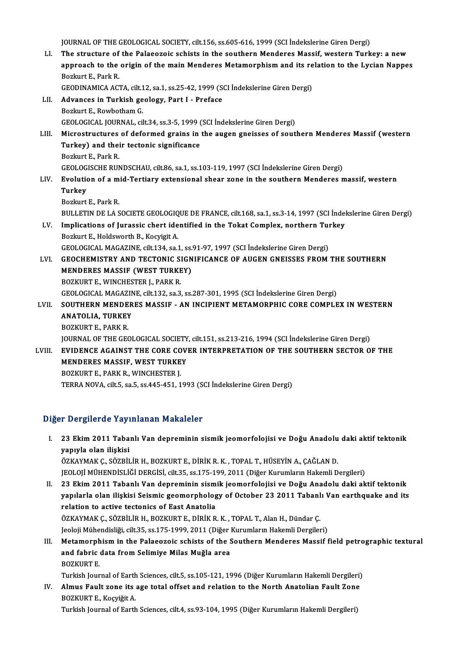JOURNAL OF THE GEOLOGICAL SOCIETY, cilt.156, ss.605-616, 1999 (SCI İndekslerine Giren Dergi)

JOURNAL OF THE GEOLOGICAL SOCIETY, cilt.156, ss.605-616, 1999 (SCI Indekslerine Giren Dergi)<br>LI. The structure of the Palaeozoic schists in the southern Menderes Massif, western Turkey: a new JOURNAL OF THE GEOLOGICAL SOCIETY, cilt.156, ss.605-616, 1999 (SCI İndekslerine Giren Dergi)<br>The structure of the Palaeozoic schists in the southern Menderes Massif, western Turkey: a new<br>approach to the origin of the main The structure of<br>approach to the<br>Bozkurt E., Park R.<br>CEODIMAMICA ACT approach to the origin of the main Menderes Metamorphism and its re<br>Bozkurt E., Park R.<br>GEODINAMICA ACTA, cilt.12, sa.1, ss.25-42, 1999 (SCI İndekslerine Giren Dergi)<br>Advances in Turkish geology, Bart L. Brefase. Bozkurt E., Park R.<br>GEODINAMICA ACTA, cilt.12, sa.1, ss.25-42, 1999 (S<br>LII. Advances in Turkish geology, Part I - Preface<br>Bozkurt E., Rowbotham G. GEODINAMICA ACTA, cilt.1<br>Advances in Turkish ge<br>Bozkurt E., Rowbotham G.<br>CEOLOCICAL JOUPNAL cil GEOLOGICAL JOURNAL, cilt.34, ss.3-5,1999 (SCI İndekslerineGirenDergi) Bozkurt E., Rowbotham G.<br>GEOLOGICAL JOURNAL, cilt.34, ss.3-5, 1999 (SCI İndekslerine Giren Dergi)<br>LIII. Microstructures of deformed grains in the augen gneisses of southern Menderes Massif (western<br>Turkey) and their tecton GEOLOGICAL JOURNAL, cilt34, ss.3-5, 1999 (<br>Microstructures of deformed grains in<br>Turkey) and their tectonic significance<br>Borlaut E. Bork B Microstructures<br>Turkey) and thei<br>Bozkurt E., Park R.<br>CEOLOCISCHE PHN Turkey) and their tectonic significance<br>Bozkurt E., Park R.<br>GEOLOGISCHE RUNDSCHAU, cilt.86, sa.1, ss.103-119, 1997 (SCI İndekslerine Giren Dergi) Bozkurt E., Park R.<br>GEOLOGISCHE RUNDSCHAU, cilt.86, sa.1, ss.103-119, 1997 (SCI İndekslerine Giren Dergi)<br>LIV. Evolution of a mid-Tertiary extensional shear zone in the southern Menderes massif, western<br>Turkey GEOLOG<br><mark>Evolutio</mark><br>Turkey<br><sup>Rozluut</sup> Turkey<br>Bozkurt E., Park R. BULLETIN DE LA SOCIETE GEOLOGIQUE DE FRANCE, cilt.168, sa.1, ss.3-14, 1997 (SCI İndekslerine Giren Dergi) Bozkurt E., Park R.<br>BULLETIN DE LA SOCIETE GEOLOGIQUE DE FRANCE, cilt.168, sa.1, ss.3-14, 1997 (SCI İndel<br>LV. Implications of Jurassic chert identified in the Tokat Complex, northern Turkey<br>Boglaut E. Holdoverth B. Kogyigi BULLETIN DE LA SOCIETE GEOLOGIQ<br>Implications of Jurassic chert ide<br>Bozkurt E., Holdsworth B., Kocyigit A. Implications of Jurassic chert identified in the Tokat Complex, northern Tui<br>Bozkurt E., Holdsworth B., Kocyigit A.<br>GEOLOGICAL MAGAZINE, cilt.134, sa.1, ss.91-97, 1997 (SCI İndekslerine Giren Dergi)<br>CEOCUEMISTRY AND TECTON Bozkurt E., Holdsworth B., Kocyigit A.<br>GEOLOGICAL MAGAZINE, cilt.134, sa.1, ss.91-97, 1997 (SCI İndekslerine Giren Dergi)<br>LVI. GEOCHEMISTRY AND TECTONIC SIGNIFICANCE OF AUGEN GNEISSES FROM THE SOUTHERN<br>MENDERES MASSIE (WES GEOLOGICAL MAGAZINE, cilt.134, sa.1, ss.91-97, 1997 (SCI İndekslerine Giren Dergi)<br>GEOCHEMISTRY AND TECTONIC SIGNIFICANCE OF AUGEN GNEISSES FROM<br>MENDERES MASSIF (WEST TURKEY)<br>BOZKURT E., WINCHESTER J., PARK R. GEOCHEMISTRY AND TECTONIC SI<br>MENDERES MASSIF (WEST TURKE<br>BOZKURT E., WINCHESTER J., PARK R.<br>CEOLOCICAL MACAZINE silt 132 se 3 MENDERES MASSIF (WEST TURKEY)<br>BOZKURT E., WINCHESTER J., PARK R.<br>GEOLOGICAL MAGAZINE, cilt.132, sa.3, ss.287-301, 1995 (SCI İndekslerine Giren Dergi)<br>SOUTHERN MENDERES MASSIE – AN INCIBIENT METAMORRHIC CORE COMBI E LVII. SOUTHERN MENDERES MASSIF - AN INCIPIENT METAMORPHIC CORE COMPLEX IN WESTERN<br>ANATOLIA, TURKEY **GEOLOGICAL MAGAZIN<br>SOUTHERN MENDER<br>ANATOLIA, TURKEY<br>POZKUPT E PAPK P** BOZKURTE, PARKR. JOURNALOF THEGEOLOGICAL SOCIETY, cilt.151, ss.213-216,1994 (SCI İndekslerineGirenDergi) LVIII. EVIDENCE AGAINST THE CORE COVER INTERPRETATION OF THE SOUTHERN SECTOR OF THE JOURNAL OF THE GEOLOGICAL SOCIETY<br>EVIDENCE AGAINST THE CORE COV<br>MENDERES MASSIF, WEST TURKEY<br>POZYUPT E, RAPK P, WINCHESTER L EVIDENCE AGAINST THE CORE CO<br>MENDERES MASSIF, WEST TURKE<br>BOZKURT E., PARK R., WINCHESTER J.<br>TERRA NOVA sil E so E se 445 451 1 BOZKURT E., PARK R., WINCHESTER J.<br>TERRA NOVA, cilt.5, sa.5, ss.445-451, 1993 (SCI İndekslerine Giren Dergi)

### Diğer Dergilerde Yayınlanan Makaleler

- I. 23 Ekim2011 Tabanlı Van depreminin sismik jeomorfolojisi ve Doğu Anadolu daki aktif tektonik ya ya girevası yayı<br>23 Ekim 2011 Taba<br>yapıyla olan ilişkisi<br>özkaymak çı sözpir 23 Ekim 2011 Tabanlı Van depreminin sismik jeomorfolojisi ve Doğu Anadolu<br>yapıyla olan ilişkisi<br>ÖZKAYMAK Ç., SÖZBİLİR H., BOZKURT E., DİRİK R. K. , TOPAL T., HÜSEYİN A., ÇAĞLAN D.<br>IEOLOU MÜHENDİSI İĞİ DEPÇİSİ. silt 25. ss yapıyla olan ilişkisi<br>ÖZKAYMAK Ç., SÖZBİLİR H., BOZKURT E., DİRİK R. K. , TOPAL T., HÜSEYİN A., ÇAĞLAN D.<br>JEOLOJİ MÜHENDİSLİĞİ DERGİSİ, cilt.35, ss.175-199, 2011 (Diğer Kurumların Hakemli Dergileri) II. 23 Ekim 2011 Tabanlı Van depreminin sismik jeomorfolojisi ve Doğu Anadolu daki aktif tektonik JEOLOJİ MÜHENDİSLİĞİ DERGİSİ, cilt.35, ss.175-199, 2011 (Diğer Kurumların Hakemli Dergileri)<br>23 Ekim 2011 Tabanlı Van depreminin sismik jeomorfolojisi ve Doğu Anadolu daki aktif tektonik<br>yapılarla olan ilişkisi Seismic geo
- 23 Ekim 2011 Tabanlı Van depreminin sism<br>yapılarla olan ilişkisi Seismic geomorpholog<br>relation to active tectonics of East Anatolia<br>ÖZKAYMAK C. SÖZRİLİR H. ROZKURT F. DİRİK R yapılarla olan ilişkisi Seismic geomorphology of October 23 2011 Tabanl<br>relation to active tectonics of East Anatolia<br>ÖZKAYMAK Ç., SÖZBİLİR H., BOZKURT E., DİRİK R. K. , TOPAL T., Alan H., Dündar Ç.<br>Joalaji Mühandialiği si relation to active tectonics of East Anatolia<br>ÖZKAYMAK Ç., SÖZBİLİR H., BOZKURT E., DİRİK R. K. , TOPAL T., Alan H., Dündar Ç.<br>Jeoloji Mühendisliği, cilt.35, ss.175-1999, 2011 (Diğer Kurumların Hakemli Dergileri)<br>Matamarın ÖZKAYMAK Ç., SÖZBİLİR H., BOZKURT E., DİRİK R. K. , TOPAL T., Alan H., Dündar Ç.<br>Jeoloji Mühendisliği, cilt.35, ss.175-1999, 2011 (Diğer Kurumların Hakemli Dergileri)<br>III. Metamorphism in the Palaeozoic schists of the Sout
- Jeoloji Mühendisliği, cilt.35, ss.175-1999, 2011 (Diğer l<br>Metamorphism in the Palaeozoic schists of the S<br>and fabric data from Selimiye Milas Muğla area<br>POZKUPT E Metamorph<br>and fabric<br>BOZKURT E.<br>Turkish Jour and fabric data from Selimiye Milas Muğla area<br>BOZKURT E.<br>Turkish Journal of Earth Sciences, cilt.5, ss.105-121, 1996 (Diğer Kurumların Hakemli Dergileri)<br>Almus Fault vana ita aga tatal affast and ralation ta the Narth Ana

BOZKURT E.<br>Turkish Journal of Earth Sciences, cilt.5, ss.105-121, 1996 (Diğer Kurumların Hakemli Dergileri)<br>IV. Almus Fault zone its age total offset and relation to the North Anatolian Fault Zone<br>POZKUPT E. Kosvišit A Turkish Journal of Earth<br><mark>Almus Fault zone its</mark><br>BOZKURT E., Koçyiğit A.<br>Turkish Journal of Farth Almus Fault zone its age total offset and relation to the North Anatolian Fault Zone<br>BOZKURT E., Koçyiğit A.<br>Turkish Journal of Earth Sciences, cilt.4, ss.93-104, 1995 (Diğer Kurumların Hakemli Dergileri)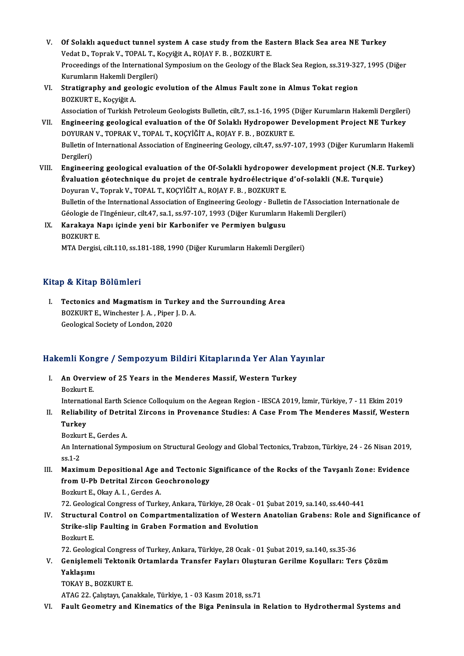- V. Of Solaklı aqueduct tunnel system A case study from the Eastern Black Sea area NE Turkey<br>Vedst D. Tenrak V. TOPAL T. Kogrišit A. POLAVE B. POZKUPT E Of Solaklı aqueduct tunnel system A case study from the Ea<br>Vedat D., Toprak V., TOPAL T., Koçyiğit A., ROJAY F. B. , BOZKURT E.<br>Preseedings of the International Sympesium on the Coelegy of the Of Solaklı aqueduct tunnel system A case study from the Eastern Black Sea area NE Turkey<br>Vedat D., Toprak V., TOPAL T., Koçyiğit A., ROJAY F. B. , BOZKURT E.<br>Proceedings of the International Symposium on the Geology of the Vedat D., Toprak V., TOPAL T., Koçyiğit A., ROJAY F. B. , BOZKURT E.<br>Proceedings of the International Symposium on the Geology of the Black Sea Region, ss.319-327, 1995 (Diğer Kurumların Hakemli Dergileri)
- VI. Stratigraphy and geologic evolution of the Almus Fault zone in Almus Tokat region

Association of Turkish Petroleum Geologists Bulletin, cilt.7, ss.1-16, 1995 (Diğer Kurumların Hakemli Dergileri) VII. Engineering geological evaluation of the Of Solaklı Hydropower Development Project NE Turkey Association of Turkish Petroleum Geologists Bulletin, cilt.7, ss.1-16, 1995 (<br>Engineering geological evaluation of the Of Solaklı Hydropower D<br>DOYURAN V., TOPRAK V., TOPAL T., KOÇYİĞİT A., ROJAY F. B. , BOZKURT E.<br>Bulletin Bulletin of International Association of Engineering Geology, cilt.47, ss.97-107, 1993 (Diğer Kurumların Hakemli<br>Dergileri) DOYURAN<br>Bulletin of<br>Dergileri)<br>Engineeri

Bulletin of International Association of Engineering Geology, cilt.47, ss.97-107, 1993 (Diğer Kurumların Hakemli<br>Dergileri)<br>VIII. Engineering geological evaluation of the Of-Solakli hydropower development project (N.E. Tur Dergileri)<br>Engineering geological evaluation of the Of-Solakli hydropower development project (N.E.<br>Évaluation géotechnique du projet de centrale hydroélectrique d'of-solakli (N.E. Turquie)<br>Peruran V. Tenrek V. TORAL T. KO Évaluation géotechnique du projet de centrale hydroélectrique d'of-solakli (N.E. Turquie)<br>Doyuran V., Toprak V., TOPAL T., KOÇYİĞİT A., ROJAY F. B. , BOZKURT E. Évaluation géotechnique du projet de centrale hydroélectrique d'of-solakli (N.E. Turquie)<br>Doyuran V., Toprak V., TOPAL T., KOÇYİĞİT A., ROJAY F. B. , BOZKURT E.<br>Bulletin of the International Association of Engineering Geol Doyuran V., Toprak V., TOPAL T., KOÇYİĞİT A., ROJAY F. B. , BOZKURT E.<br>Bulletin of the International Association of Engineering Geology - Bulletin de l'Association I<br>Géologie de l'Ingénieur, cilt.47, sa.1, ss.97-107, 1993 Bulletin of the International Association of Engineering Geology - Bulleti<br>Géologie de l'Ingénieur, cilt.47, sa.1, ss.97-107, 1993 (Diğer Kurumların<br>IX. Karakaya Napı içinde yeni bir Karbonifer ve Permiyen bulgusu<br>POZKUPT

Géologie de <mark>:</mark><br>Karakaya N<br>BOZKURT E.<br>MTA Dergiei BOZKURT E.<br>MTA Dergisi, cilt.110, ss.181-188, 1990 (Diğer Kurumların Hakemli Dergileri)

### Kitap & Kitap Bölümleri

Itap & Kitap Bölümleri<br>I. Tectonics and Magmatism in Turkey and the Surrounding Area BOZKURTE.<br>Tectonics and Magmatism in Turkey all<br>BOZKURT E., Winchester J.A., Piper J.D.A. Tectonics and Magmatism in Tui<br>BOZKURT E., Winchester J. A. , Piper<br>Geological Society of London, 2020

# ueological society of London, 2020<br>Hakemli Kongre / Sempozyum Bildiri Kitaplarında Yer Alan Yayınlar

akemli Kongre / Sempozyum Bildiri Kitaplarında Yer Alan Ya<br>I. An Overview of 25 Years in the Menderes Massif, Western Turkey I. An Overview of 25 Years in the Menderes Massif, Western Turkey<br>Bozkurt E.

International Earth Science Colloquium on the Aegean Region - IESCA 2019, İzmir, Türkiye, 7 - 11 Ekim 2019

Bozkurt E.<br>International Earth Science Colloquium on the Aegean Region - IESCA 2019, İzmir, Türkiye, 7 - 11 Ekim 2019<br>II. Reliability of Detrital Zircons in Provenance Studies: A Case From The Menderes Massif, Western<br> Internati<br><mark>Reliabil</mark><br>Turkey Reliability of Detri<br>Turkey<br>Bozkurt E., Gerdes A.<br>An International Sum

**Turkey**<br>Bozkurt E., Gerdes A.<br>An International Symposium on Structural Geology and Global Tectonics, Trabzon, Türkiye, 24 - 26 Nisan 2019, Bozku<br>An Inte<br>ss.1-2<br>Movin IV. An International Symposium on Structural Geology and Global Tectonics, Trabzon, Türkiye, 24 - 26 Nisan 2019,<br>III. Maximum Depositional Age and Tectonic Significance of the Rocks of the Tavşanlı Zone: Evidence<br>from II.

ss.1-2<br>Maximum Depositional Age and Tectonic S<br>from U-Pb Detrital Zircon Geochronology<br>Borluut E. Okay A. L. Gardes A Maximum Depositional Age<br>from U-Pb Detrital Zircon Ge<br>Bozkurt E., Okay A. I. , Gerdes A.<br>72. Coological Congress of Turk

80zkurt E., Okay A. I. , Gerdes A.<br>72. Geological Congress of Turkey, Ankara, Türkiye, 28 Ocak - 01 Şubat 2019, sa.140, ss.440-441

Bozkurt E., Okay A. I. , Gerdes A.<br>72. Geological Congress of Turkey, Ankara, Türkiye, 28 Ocak - 01 Şubat 2019, sa.140, ss.440-441<br>IV. Structural Control on Compartmentalization of Western Anatolian Grabens: Role and S 72. Geological Congress of Turkey, Ankara, Türkiye, 28 Ocak - 0<br>Structural Control on Compartmentalization of Western<br>Strike-slip Faulting in Graben Formation and Evolution<br>Borluut E Structura<br>Strike-slij<br>Bozkurt E.<br>72. Ceeler Strike-slip Faulting in Graben Formation and Evolution<br>Bozkurt E.<br>72. Geological Congress of Turkey, Ankara, Türkiye, 28 Ocak - 01 Şubat 2019, sa.140, ss.35-36<br>Conislameli Tektonik Ortamlanda Transfor Fayları Olusturan Con

Bozkurt E.<br>72. Geological Congress of Turkey, Ankara, Türkiye, 28 Ocak - 01 Şubat 2019, sa.140, ss.35-36<br>7. Genişlemeli Tektonik Ortamlarda Transfer Fayları Oluşturan Gerilme Koşulları: Ters Çözüm<br>Yaklasımı 72. Geologi<br><mark>Genişleme</mark><br>Yaklaşımı<br>TOKAV B Genişlemeli Tektonil<br>Yaklaşımı<br>TOKAY B., BOZKURT E.<br>ATAC 33 Celutayı Can Yaklaşımı<br>TOKAY B., BOZKURT E.<br>ATAG 22. Çalıştayı, Çanakkale, Türkiye, 1 - 03 Kasım 2018, ss.71

VI. Fault Geometry and Kinematics of the Biga Peninsula in Relation to Hydrothermal Systems and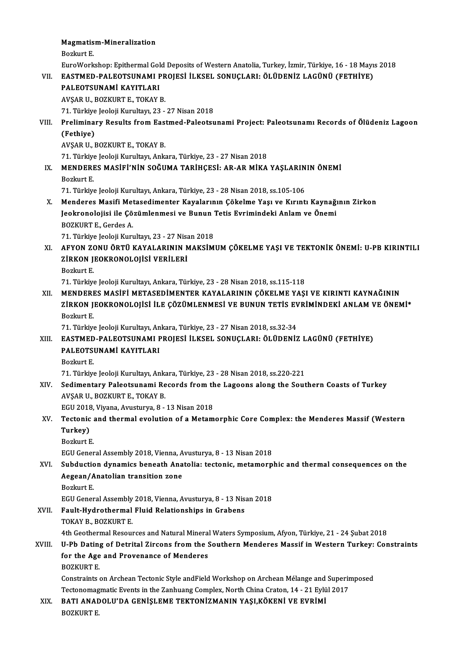## Magmatism-Mineralization<br>Perluut F Magmatis<br>Bozkurt E.<br>EuroMork

Bozkurt E.<br>EuroWorkshop: Epithermal Gold Deposits of Western Anatolia, Turkey, İzmir, Türkiye, 16 - 18 Mayıs 2018

## VI . EASTMED-PALEOTSUNAMI PROJESİ İLKSEL SONUÇLARI: ÖLÜDENİZ LAGÜNÜ (FETHİYE)

EuroWorkshop: Epithermal Gol<br>EASTMED-PALEOTSUNAMI F<br>PALEOTSUNAMİ KAYITLARI<br>AVSAR IL ROZKURT E. TOKAYI PALEOTSUNAMİ KAYITLARI<br>AVŞAR U., BOZKURT E., TOKAY B.

PALEOTSUNAMİ KAYITLARI<br>AVŞAR U., BOZKURT E., TOKAY B.<br>71. Türkiye Jeoloji Kurultayı, 23 - 27 Nisan 2018<br>Proliminary Bosults from Fastmad Balactay

VIII. Preliminary Results from Eastmed-Paleotsunami Project: Paleotsunami Records of Ölüdeniz Lagoon<br>(Fethive) 71. Türkiye<br>Prelimina<br>(Fethiye)<br>AVSAR H (Fethiye)<br>AVŞAR U., BOZKURT E., TOKAY B.<br>71. Türkiye Jeoloji Kurultayı, Ankara, Türkiye, 23 - 27 Nisan 2018<br>MENDERES MASİFİ'NİN SOĞUMA TARİYCESİ. AR AR MİYA

AVŞARU.,BOZKURTE.,TOKAYB.

IX. MENDERES MASİFİ'NIN SOĞUMA TARİHÇESI: AR-AR MIKA YAŞLARININ ÖNEMI<br>Bozkurt E. 71. Türkiye<br>MENDERI<br>Bozkurt E.<br>71. Türkiye

71.Türkiye JeolojiKurultayı,Ankara,Türkiye,23 -28Nisan2018, ss.105-106

Bozkurt E.<br>71. Türkiye Jeoloji Kurultayı, Ankara, Türkiye, 23 - 28 Nisan 2018, ss.105-106<br>X. Menderes Masifi Metasedimenter Kayalarının Çökelme Yaşı ve Kırıntı Kaynağının Zirkon<br>Jeokropelejisi ile Görümlenmesi ve Bunun Tet 71. Türkiye Jeoloji Kurultayı, Ankara, Türkiye, 23 - 28 Nisan 2018, ss.105-106<br>Menderes Masifi Metasedimenter Kayalarının Çökelme Yaşı ve Kırıntı Kaynağı<br>Jeokronolojisi ile Çözümlenmesi ve Bunun Tetis Evrimindeki Anlam ve Menderes Masifi Met<br>Jeokronolojisi ile Çö<br>BOZKURT E., Gerdes A.<br>71. Türkiye Jeoloji Kur Jeokronolojisi ile Çözümlenmesi ve Bunun Tetis Evrimindeki Anlam ve Önemi<br>BOZKURT E., Gerdes A.<br>71. Türkiye Jeoloji Kurultayı, 23 - 27 Nisan 2018

BOZKURT E., Gerdes A.<br>71. Türkiye Jeoloji Kurultayı, 23 - 27 Nisan 2018<br>XI. AFYON ZONU ÖRTÜ KAYALARININ MAKSİMUM ÇÖKELME YAŞI VE TEKTONİK ÖNEMİ: U-PB KIRINTILI<br>7İRKON JEOKRONOLOJİSİ VERİLERİ 71. Türkiye Jeoloji Kurultayı, 23 - 27 Nisa<br>AFYON ZONU ÖRTÜ KAYALARININ N<br>ZİRKON JEOKRONOLOJİSİ VERİLERİ<br>Berluut E **AFYON ZO<br>ZİRKON J<br>Bozkurt E.<br>71 Türkiy** 2İRKON JEOKRONOLOJİSİ VERİLERİ<br>Bozkurt E.<br>71. Türkiye Jeoloji Kurultayı, Ankara, Türkiye, 23 - 28 Nisan 2018, ss.115-118

Bozkurt E.<br>71. Türkiye Jeoloji Kurultayı, Ankara, Türkiye, 23 - 28 Nisan 2018, ss.115-118<br>XII. MENDERES MASİFİ METASEDİMENTER KAYALARININ ÇÖKELME YAŞI VE KIRINTI KAYNAĞININ<br>7İPKON JEOKRONOLOJİSİ İLE GÖZÜMLENMESİ VE RIN 71. Türkiye Jeoloji Kurultayı, Ankara, Türkiye, 23 - 28 Nisan 2018, ss.115-118<br>MENDERES MASİFİ METASEDİMENTER KAYALARININ ÇÖKELME YAŞI VE KIRINTI KAYNAĞININ<br>ZİRKON JEOKRONOLOJİSİ İLE ÇÖZÜMLENMESİ VE BUNUN TETİS EVRİMİNDEKİ MENDERI<br>ZİRKON J<br>Bozkurt E.<br>71. Türkiy ZİRKON JEOKRONOLOJİSİ İLE ÇÖZÜMLENMESİ VE BUNUN TETİS EV<br>Bozkurt E.<br>71. Türkiye Jeoloji Kurultayı, Ankara, Türkiye, 23 - 27 Nisan 2018, ss.32-34<br>EASTMED RALEOTSUNAMI RROIESİ İLKSEL SONUCLARI: ÖLÜDENİ?

## XI I. EASTMED-PALEOTSUNAMI PROJESİ İLKSEL SONUÇLARI: ÖLÜDENİZ LAGÜNÜ (FETHİYE) 71. Türkiye Jeoloji Kurultayı, Ankara, Türkiye, 23 - 27 Nisan 2018, ss.32-34<br>EASTMED-PALEOTSUNAMI PROJESİ İLKSEL SONUÇLARI: ÖLÜDENİ?<br>PALEOTSUNAMİ KAYITLARI<br>Bozkurt E. EASTMED<br>PALEOTS<br>Bozkurt E.<br>71. Türkur PALEOTSUNAMİ KAYITLARI<br>Bozkurt E.<br>71. Türkiye Jeoloji Kurultayı, Ankara, Türkiye, 23 - 28 Nisan 2018, ss.220-221<br>Sedimentany Pelectsunami Besards from the Lassens alons the Seut

Bozkurt E.<br>71. Türkiye Jeoloji Kurultayı, Ankara, Türkiye, 23 - 28 Nisan 2018, ss.220-221<br>XIV. Sedimentary Paleotsunami Records from the Lagoons along the Southern Coasts of Turkey<br>AVSAR U. POZKURT E. TOKAY P. 71. Türkiye Jeoloji Kurultayı, Anka<br>Sedimentary Paleotsunami Re<br>AVŞAR U., BOZKURT E., TOKAY B.<br>ECU 2019. Viyana, Ayyatıyıya. 8 Sedimentary Paleotsunami Records from th<br>AVŞAR U., BOZKURT E., TOKAY B.<br>EGU 2018, Viyana, Avusturya, 8 - 13 Nisan 2018<br>Testonis and thermal evolution of a Metam

## AVŞAR U., BOZKURT E., TOKAY B.<br>EGU 2018, Viyana, Avusturya, 8 - 13 Nisan 2018<br>XV. Tectonic and thermal evolution of a Metamorphic Core Complex: the Menderes Massif (Western<br>Turkey) EGU 2018, Viyana, Avusturya, 8 - 13 Nisan 2018<br>Tectonic and thermal evolution of a Metam<br>Turkey)<br>Bozkurt E. Tectonic<br>Turkey)<br>Bozkurt E.<br>ECU Cener

EGU General Assembly 2018, Vienna, Avusturya, 8 - 13 Nisan 2018

## Bozkurt E.<br>EGU General Assembly 2018, Vienna, Avusturya, 8 - 13 Nisan 2018<br>XVI. Subduction dynamics beneath Anatolia: tectonic, metamorphic and thermal consequences on the<br>Assess (Anatolian transition gang EGU General Assembly 2018, Vienna, A<br>Subduction dynamics beneath Ana<br>Aegean/Anatolian transition zone<br>Perluut E Subductic<br>Aegean/A<br>Bozkurt E.<br>ECU Coner Aegean/Anatolian transition zone<br>Bozkurt E.<br>EGU General Assembly 2018, Vienna, Avusturya, 8 - 13 Nisan 2018<br>Fault Hydrothermal Fluid Pelationshins in Grabens

Bozkurt E.<br>EGU General Assembly 2018, Vienna, Avusturya, 8 - 13 Nis<br>XVII. Fault-Hydrothermal Fluid Relationships in Grabens<br>TOKAY B., BOZKURT E. EGU General Assembly<br>Fault-Hydrothermal<br>TOKAY B., BOZKURT E.<br>Ath Coothermal Bosovy

4thGeothermalResources andNaturalMineralWaters Symposium,Afyon,Türkiye,21 -24 Şubat2018

## TOKAY B., BOZKURT E.<br>4th Geothermal Resources and Natural Mineral Waters Symposium, Afyon, Türkiye, 21 - 24 Şubat 2018<br>XVIII. U-Pb Dating of Detrital Zircons from the Southern Menderes Massif in Western Turkey: Constraints 4th Geothermal Resources and Natural Mineral<br>U-Pb Dating of Detrital Zircons from the S<br>for the Age and Provenance of Menderes<br>POZKUPT F for the Age and Provenance of Menderes<br>BOZKURT E. for the Age and Provenance of Menderes<br>BOZKURT E.<br>Constraints on Archean Tectonic Style andField Workshop on Archean Mélange and Superimposed<br>Testanomesmatic Events in the Zanbuans Complex, North Chine Creten, 14, 21 Exlil

BOZKURT E.<br>Constraints on Archean Tectonic Style andField Workshop on Archean Mélange and Superin<br>Tectonomagmatic Events in the Zanhuang Complex, North China Craton, 14 - 21 Eylül 2017<br>RATI ANADOLII'DA CENISLEME TEKTONIZMA Tectonomagmatic Events in the Zanhuang Complex, North China Craton, 14 - 21 Eylül 2017

XIX. BATI ANADOLU'DA GENİŞLEME TEKTONİZMANIN YAŞI,KÖKENİ VE EVRİMİ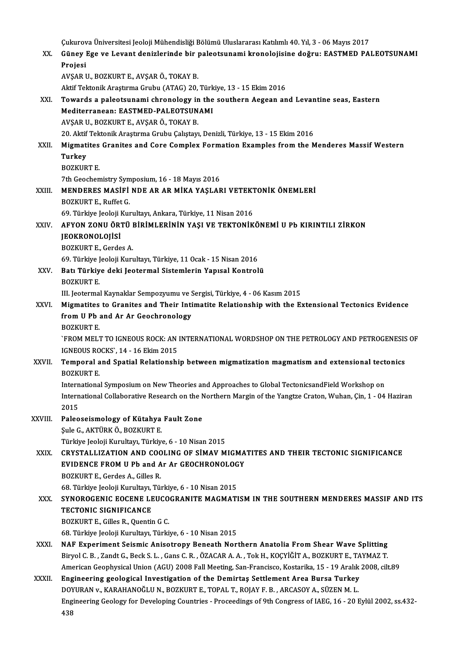Çukurova Üniversitesi Jeoloji Mühendisliği Bölümü Uluslararası Katılımlı 40. Yıl, 3 - 06 Mayıs 2017<br>Cünev Fae ve Lavant denizlerinde bir pelestsunemi kronolajisine değmu FASTMED PA XX. Güney Ege ve Levant denizlerinde bir paleotsunami kronolojisine doğru: EASTMED PALEOTSUNAMI Cukurov<br>Güney l<br>Projesi AVŞARU.,BOZKURTE.,AVŞARÖ.,TOKAYB. Projesi<br>AVŞAR U., BOZKURT E., AVŞAR Ö., TOKAY B.<br>Aktif Tektonik Araştırma Grubu (ATAG) 20, Türkiye, 13 - 15 Ekim 2016<br>Towards a palastsunami shranalagu in the southern Asgean an AVŞAR U., BOZKURT E., AVŞAR Ö., TOKAY B.<br>Aktif Tektonik Araştırma Grubu (ATAG) 20, Türkiye, 13 - 15 Ekim 2016<br>XXI. Towards a paleotsunami chronology in the southern Aegean and Levantine seas, Eastern<br>Mediterranean: EAS Aktif Tektonik Araştırma Grubu (ATAG) 20, Türk<br>Towards a paleotsunami chronology in the<br>Mediterranean: EASTMED-PALEOTSUNAMI<br>AVSAR IL ROZKURT E AVSARÖ TOKAY R Towards a paleotsunami chronology in<br>Mediterranean: EASTMED-PALEOTSUN<br>AVŞAR U., BOZKURT E., AVŞAR Ö., TOKAY B.<br>20. Aktif Tektonik Arastırma Crubu Cekstavı Mediterranean: EASTMED-PALEOTSUNAMI<br>AVŞAR U., BOZKURT E., AVŞAR Ö., TOKAY B.<br>20. Aktif Tektonik Araştırma Grubu Çalıştayı, Denizli, Türkiye, 13 - 15 Ekim 2016<br>Mismatitas Granitas and Gare Gampley Fermation Examples from th AVŞAR U., BOZKURT E., AVŞAR Ö., TOKAY B.<br>20. Aktif Tektonik Araştırma Grubu Çalıştayı, Denizli, Türkiye, 13 - 15 Ekim 2016<br>XXII. Migmatites Granites and Core Complex Formation Examples from the Menderes Massif Western<br> 20. Aktif<br><mark>Migmati</mark><br>Turkey<br>POZKUP Migmatites<br>Turkey<br>BOZKURT E.<br><sup>7th Coocher</sup> Turkey<br>BOZKURT E.<br>7th Geochemistry Symposium, 16 - 18 Mayıs 2016 BOZKURT E.<br>7th Geochemistry Symposium, 16 - 18 Mayıs 2016<br>XXIII. MENDERES MASİFİ NDE AR AR MİKA YAŞLARI VETEKTONİK ÖNEMLERİ<br>ROZKURT E. Buffat C 7th Geochemistry Sym<br>**MENDERES MASIFI**<br>BOZKURT E., Ruffet G.<br>60. Türkiye koloji Kur MENDERES MASİFİ NDE AR AR MİKA YAŞLARI VETEKT<br>BOZKURT E., Ruffet G.<br>69. Türkiye Jeoloji Kurultayı, Ankara, Türkiye, 11 Nisan 2016<br>AEVON ZONU ÖRTÜ RİRİMI ERİNİN YASI VE TEKTONİK BOZKURT E., Ruffet G.<br>69. Türkiye Jeoloji Kurultayı, Ankara, Türkiye, 11 Nisan 2016<br>XXIV. AFYON ZONU ÖRTÜ BİRİMLERİNİN YAŞI VE TEKTONİKÖNEMİ U Pb KIRINTILI ZİRKON<br>IEOKRONOLOJİSİ 69. Türkiye Jeoloji Kurultayı, Ankara, Türkiye, 11 Nisan 2016<br>AFYON ZONU ÖRTÜ BİRİMLERİNİN YAŞI VE TEKTONİK<br>JEOKRONOLOJİSİ<br>BOZKURT E., Gerdes A. AFYON ZONU ÖRTÜ 1<br>JEOKRONOLOJİSİ<br>BOZKURT E., Gerdes A.<br>60 Türkiye leeleji Kur JEOKRONOLOJİSİ<br>BOZKURT E., Gerdes A.<br>69. Türkiye Jeoloji Kurultayı, Türkiye, 11 Ocak - 15 Nisan 2016<br>Petr Türkiye deki Jeotarmal Sistemlerin Yanısal Kantralı XXV. Batı Türkiye deki Jeotermal Sistemlerin Yapısal Kontrolü 69. Türkiye J<br><mark>Batı Türkiy</mark><br>BOZKURT E.<br>III Jecterme. Batı Türkiye deki Jeotermal Sistemlerin Yapısal Kontrolü<br>BOZKURT E.<br>III. Jeotermal Kaynaklar Sempozyumu ve Sergisi, Türkiye, 4 - 06 Kasım 2015<br>Mismatites te Cranites and Their Intimatite Belationshin with the Er BOZKURT E.<br>III. Jeotermal Kaynaklar Sempozyumu ve Sergisi, Türkiye, 4 - 06 Kasım 2015<br>XXVI. Migmatites to Granites and Their Intimatite Relationship with the Extensional Tectonics Evidence<br>from U.Ph and Ar Ar Cooshronology III. Jeotermal Kaynaklar Sempozyumu ve S<br>Migmatites to Granites and Their Inti<br>from U Pb and Ar Ar Geochronology<br>POZKUPT F Migmatites<br>from U Pb<br>BOZKURT E.<br>`EROM MELT from U Pb and Ar Ar Geochronology<br>BOZKURT E.<br>`FROM MELT TO IGNEOUS ROCK: AN INTERNATIONAL WORDSHOP ON THE PETROLOGY AND PETROGENESIS OF IGNEOUSROCKS`,14 -16Ekim2015 TROM MELT TO IGNEOUS ROCK: AN INTERNATIONAL WORDSHOP ON THE PETROLOGY AND PETROGENESIS<br>IGNEOUS ROCKS`, 14 - 16 Ekim 2015<br>XXVII. Temporal and Spatial Relationship between migmatization magmatism and extensional tectonics<br>RO IGNEOUS RO<br>Temporal a<br>BOZKURT E.<br>Internatione Temporal and Spatial Relationship between migmatization magmatism and extensional tect<br>BOZKURT E.<br>International Symposium on New Theories and Approaches to Global TectonicsandField Workshop on<br>International Collaborative B BOZKURT E.<br>International Symposium on New Theories and Approaches to Global TectonicsandField Workshop on<br>International Collaborative Research on the Northern Margin of the Yangtze Craton, Wuhan, Çin, 1 - 04 Haziran<br>2015 Intern<br>Intern<br>2015<br>Pales 2015<br>XXVIII. Paleoseismology of Kütahya Fault Zone ŞuleG.,AKTÜRKÖ.,BOZKURTE. Türkiye Jeoloji Kurultayı, Türkiye, 6 - 10 Nisan 2015 XXIX. CRYSTALLIZATION AND COOLING OF SİMAV MIGMATITES AND THEIR TECTONIC SIGNIFICANCE Türkiye Jeoloji Kurultayı, Türkiye, 6 - 10 Nisan 2015<br>CRYSTALLIZATION AND COOLING OF SİMAV MIGMA<br>EVIDENCE FROM U Pb and Ar Ar GEOCHRONOLOGY<br>POZKUPT E. Cordes A. Gilles P CRYSTALLIZATION AND COC<br>EVIDENCE FROM U Pb and A<br>BOZKURT E., Gerdes A., Gilles R.<br>69. Türkiye Jooloji Kurultan Tür EVIDENCE FROM U Pb and Ar Ar GEOCHRONOLOG<br>BOZKURT E., Gerdes A., Gilles R.<br>68. Türkiye Jeoloji Kurultayı, Türkiye, 6 - 10 Nisan 2015<br>SYNOROCENIC FOCENE I FIICOCRANITE MACMATI BOZKURT E., Gerdes A., Gilles R.<br>68. Türkiye Jeoloji Kurultayı, Türkiye, 6 - 10 Nisan 2015<br>XXX. SYNOROGENIC EOCENE LEUCOGRANITE MAGMATISM IN THE SOUTHERN MENDERES MASSIF AND ITS<br>TECTONIC SICNIEICANCE 68. Türkiye Jeoloji Kurultayı, '<br>SYNOROGENIC EOCENE LE<br>TECTONIC SIGNIFICANCE<br>POZKUPT E. Gillee B. Quenti: SYNOROGENIC EOCENE LEUCO<br>TECTONIC SIGNIFICANCE<br>BOZKURT E., Gilles R., Quentin G C.<br>69. Türkiye leoleji Kurukova Türki 11 TECTONIC SIGNIFICANCE<br>1982 - BOZKURT E., Gilles R., Quentin G C.<br>68. Türkiye Jeoloji Kurultayı, Türkiye, 6 - 10 Nisan BOZKURT E., Gilles R., Quentin G C.<br>68. Türkiye Jeoloji Kurultayı, Türkiye, 6 - 10 Nisan 2015<br>XXXI. NAF Experiment Seismic Anisotropy Beneath Northern Anatolia From Shear Wave Splitting<br>Pirvel G P., Zandt G. Bock S. J., Ga 68. Türkiye Jeoloji Kurultayı, Türkiye, 6 - 10 Nisan 2015<br>NAF Experiment Seismic Anisotropy Beneath Northern Anatolia From Shear Wave Splitting<br>Biryol C. B. , Zandt G., Beck S. L. , Gans C. R. , ÖZACAR A. A. , Tok H., KOÇY Biryol C. B. , Zandt G., Beck S. L. , Gans C. R. , ÖZACAR A. A. , Tok H., KOÇYİĞİT A., BOZKURT E., TAYMAZ T.<br>American Geophysical Union (AGU) 2008 Fall Meeting, San-Francisco, Kostarika, 15 - 19 Aralık 2008, cilt.89 Biryol C. B., Zandt G., Beck S. L., Gans C. R., ÖZACAR A. A., Tok H., KOÇYİĞİT A., BOZKURT E., TA<br>American Geophysical Union (AGU) 2008 Fall Meeting, San-Francisco, Kostarika, 15 - 19 Aralık<br>XXXII. Engineering geological I American Geophysical Union (AGU) 2008 Fall Meeting, San-Francisco, Kostarika, 15 - 19 Aralık<br>Engineering geological Investigation of the Demirtas Settlement Area Bursa Turkey<br>DOYURAN v., KARAHANOĞLU N., BOZKURT E., TOPAL T Engineering geological Investigation of the Demirtaş Settlement Area Bursa Turkey<br>DOYURAN v., KARAHANOĞLU N., BOZKURT E., TOPAL T., ROJAY F. B. , ARCASOY A., SÜZEN M. L.<br>Engineering Geology for Developing Countries - Proce DO)<br>Eng<br>438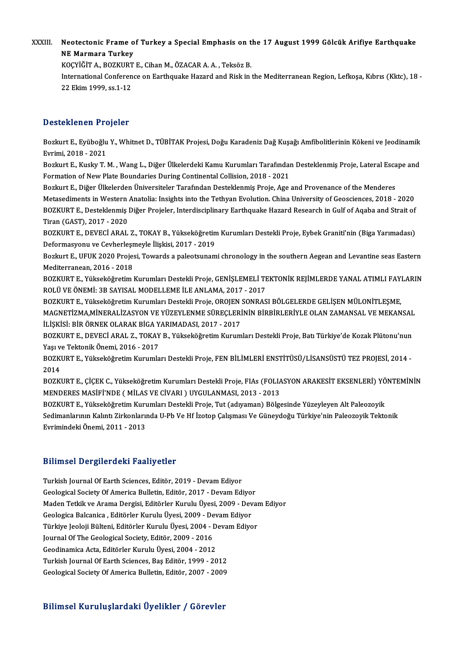XXXIII. Neotectonic Frame of Turkey a Special Emphasis on the 17 August 1999 Gölcük Arifiye Earthquake<br>NE Mermare Turkey Neotectonic Frame o<br>NE Marmara Turkey<br><sup>VOCVIČIT A - POZVIDT</sub></sup> Neotectonic Frame of Turkey a Special Emphasis on t<br>NE Marmara Turkey<br>KOÇYİĞİT A., BOZKURT E., Cihan M., ÖZACAR A. A. , Teksöz B.<br>International Conference en Forthouelre Harend and Biek in .

KOCYİĞİT A., BOZKURT E., Cihan M., ÖZACAR A. A., Teksöz B.

NE Marmara Turkey<br>KOÇYİĞİT A., BOZKURT E., Cihan M., ÖZACAR A. A. , Teksöz B.<br>International Conference on Earthquake Hazard and Risk in the Mediterranean Region, Lefkoşa, Kıbrıs (Kktc), 18<br>22 Ekim 1999, ss.1-12

### Desteklenen Projeler

Desteklenen Projeler<br>Bozkurt E., Eyüboğlu Y., Whitnet D., TÜBİTAK Projesi, Doğu Karadeniz Dağ Kuşağı Amfibolitlerinin Kökeni ve Jeodinamik<br>Evrimi, 2018, ...2021 Bozkurt E., Eyüboğlu<br>Bozkurt E., Eyüboğlu<br>Evrimi, 2018 - 2021<br>Bozkurt E. Kuela: T. I Bozkurt E., Eyüboğlu Y., Whitnet D., TÜBİTAK Projesi, Doğu Karadeniz Dağ Kuşağı Amfibolitlerinin Kökeni ve Jeodinamik<br>Evrimi, 2018 - 2021<br>Bozkurt E., Kusky T. M. , Wang L., Diğer Ülkelerdeki Kamu Kurumları Tarafından Deste

Evrimi, 2018 - 2021<br>Bozkurt E., Kusky T. M. , Wang L., Diğer Ülkelerdeki Kamu Kurumları Tarafındaı<br>Formation of New Plate Boundaries During Continental Collision, 2018 - 2021<br>Bozkurt E. Diğer Ülkelerden Üniversiteler Taraf Bozkurt E., Kusky T. M. , Wang L., Diğer Ülkelerdeki Kamu Kurumları Tarafından Desteklenmiş Proje, Lateral Esca<br>Formation of New Plate Boundaries During Continental Collision, 2018 - 2021<br>Bozkurt E., Diğer Ülkelerden Ünive

Formation of New Plate Boundaries During Continental Collision, 2018 - 2021<br>Bozkurt E., Diğer Ülkelerden Üniversiteler Tarafından Desteklenmiş Proje, Age and Provenance of the Menderes<br>Metasediments in Western Anatolia: In Bozkurt E., Diğer Ülkelerden Üniversiteler Tarafından Desteklenmiş Proje, Age and Provenance of the Menderes<br>Metasediments in Western Anatolia: Insights into the Tethyan Evolution. China University of Geosciences, 2018 - 2 Metasediments in Western<br>BOZKURT E., Desteklenmiş<br>Tiran (GAST), 2017 - 2020<br>BOZKURT E., DEVECİ ARAL BOZKURT E., Desteklenmiş Diğer Projeler, Interdisciplinary Earthquake Hazard Research in Gulf of Aqaba and Strait of<br>Tiran (GAST), 2017 - 2020<br>BOZKURT E., DEVECİ ARAL Z., TOKAY B., Yükseköğretim Kurumları Destekli Proje, E

Tiran (GAST), 2017 - 2020<br>BOZKURT E., DEVECİ ARAL Z., TOKAY B., Yükseköğretin<br>Deformasyonu ve Cevherleşmeyle İlişkisi, 2017 - 2019<br>Bozluyt E. UEUK 2020 Prejesi Tevranda a pelestsunem BOZKURT E., DEVECİ ARAL Z., TOKAY B., Yükseköğretim Kurumları Destekli Proje, Eybek Graniti'nin (Biga Yarımadası)<br>Deformasyonu ve Cevherleşmeyle İlişkisi, 2017 - 2019<br>Bozkurt E., UFUK 2020 Projesi, Towards a paleotsunami c

Deformasyonu ve Cevherleşmeyle İlişkisi, 2017 - 2019<br>Bozkurt E., UFUK 2020 Projesi, Towards a paleotsunami chronology in the southern Aegean and Levantine seas Eastern<br>Mediterranean, 2016 - 2018 Bozkurt E., UFUK 2020 Projesi, Towards a paleotsunami chronology in the southern Aegean and Levantine seas Eastern<br>Mediterranean, 2016 - 2018<br>BOZKURT E., Yükseköğretim Kurumları Destekli Proje, GENİŞLEMELİ TEKTONİK REJİMLE

Mediterranean, 2016 - 2018<br>BOZKURT E., Yükseköğretim Kurumları Destekli Proje, GENİŞLEMELİ TF<br>ROLÜ VE ÖNEMİ: 3B SAYISAL MODELLEME İLE ANLAMA, 2017 - 2017<br>BOZKUPT E. Yükseköğretim Kurumları Destekli Proje, OBOJEN SONPAS BOZKURT E., Yükseköğretim Kurumları Destekli Proje, GENİŞLEMELİ TEKTONİK REJİMLERDE YANAL ATIMLI FAYI<br>ROLÜ VE ÖNEMİ: 3B SAYISAL MODELLEME İLE ANLAMA, 2017 - 2017<br>BOZKURT E., Yükseköğretim Kurumları Destekli Proje, OROJEN S

ROLÜ VE ÖNEMİ: 3B SAYISAL MODELLEME İLE ANLAMA, 2017 - 2017<br>BOZKURT E., Yükseköğretim Kurumları Destekli Proje, OROJEN SONRASI BÖLGELERDE GELİŞEN MÜLONİTLEŞME,<br>MAGNETİZMA,MİNERALİZASYON VE YÜZEYLENME SÜREÇLERİNİN BİRBİRLER BOZKURT E., Yükseköğretim Kurumları Destekli Proje, OROJEN SONRASI BÖLGELERDE GELİŞEN MÜLONİTLEŞME, MAGNETİZMA,MİNERALİZASYON VE YÜZEYLENME SÜREÇLERİNİN BİRBİRLERİYLE OLAN ZAMANSAL VE MEKANSAL<br>İLİŞKİSİ: BİR ÖRNEK OLARAK BİGA YARIMADASI, 2017 - 2017<br>BOZKURT E., DEVECİ ARAL Z., TOKAY B., Yükseköğretim Kurumları Destekli Pr

İLİŞKİSİ: BİR ÖRNEK OLARAK BİGA Y<br>BOZKURT E., DEVECİ ARAL Z., TOKAY<br>Yaşı ve Tektonik Önemi, 2016 - 2017<br>BOZKURT E. Vülveltöğretim Kurumla BOZKURT E., DEVECİ ARAL Z., TOKAY B., Yükseköğretim Kurumları Destekli Proje, Batı Türkiye'de Kozak Plütonu'nun<br>Yaşı ve Tektonik Önemi, 2016 - 2017<br>BOZKURT E., Yükseköğretim Kurumları Destekli Proje, FEN BİLİMLERİ ENSTİTÜS

Yaşı ve Tektonik Önemi, 2016 - 2017<br>BOZKURT E., Yükseköğretim Kurumları Destekli Proje, FEN BİLİMLERİ ENSTİTÜSÜ/LİSANSÜSTÜ TEZ PROJESİ, 2014 -<br>2014 BOZKURT E., Yükseköğretim Kurumları Destekli Proje, FEN BİLİMLERİ ENSTİTÜSÜ/LİSANSÜSTÜ TEZ PROJESİ, 2014 -<br>2014<br>BOZKURT E., ÇİÇEK C., Yükseköğretim Kurumları Destekli Proje, FIAs (FOLIASYON ARAKESİT EKSENLERİ) YÖNTEMİNİN<br>M

2014<br>BOZKURT E., ÇİÇEK C., Yükseköğretim Kurumları Destekli Proje, FIAs (FOLIA<br>MENDERES MASİFİ'NDE ( MİLAS VE CİVARI ) UYGULANMASI, 2013 - 2013<br>BOZKURT E. Vülseköğretim Kurumları Destekli Preja Tut (odusman) Bölge BOZKURT E., ÇİÇEK C., Yükseköğretim Kurumları Destekli Proje, FIAs (FOLIASYON ARAKESİT EKSENLERİ) YÖ<br>MENDERES MASİFİ'NDE ( MİLAS VE CİVARI ) UYGULANMASI, 2013 - 2013<br>BOZKURT E., Yükseköğretim Kurumları Destekli Proje, Tut

MENDERES MASİFİ'NDE ( MİLAS VE CİVARI ) UYGULANMASI, 2013 - 2013<br>BOZKURT E., Yükseköğretim Kurumları Destekli Proje, Tut (adıyaman) Bölgesinde Yüzeyleyen Alt Paleozoyik<br>Sedimanlarının Kalıntı Zirkonlarında U-Pb Ve Hf İzoto BOZKURT E., Yükseköğretim Kurı<br>Sedimanlarının Kalıntı Zirkonlarıı<br>Evrimindeki Önemi, 2011 - 2013

# Evrimindeki Önemi, 2011 - 2013<br>Bilimsel Dergilerdeki Faaliyetler

Turkish Journal Of Earth Sciences, Editör, 2019 - Devam Ediyor Geological Society Of America Bulletin, Editör, 2017 - Devam Ediyor Turkish Journal Of Earth Sciences, Editör, 2019 - Devam Ediyor<br>Geological Society Of America Bulletin, Editör, 2017 - Devam Ediyor<br>Maden Tetkik ve Arama Dergisi, Editörler Kurulu Üyesi, 2009 - Devam Ediyor<br>Ceologisa Balsan Geological Society Of America Bulletin, Editör, 2017 - Devam Ediyor<br>Maden Tetkik ve Arama Dergisi, Editörler Kurulu Üyesi, 2009 - Dev<br>Geologica Balcanica , Editörler Kurulu Üyesi, 2009 - Devam Ediyor<br>Türkiye Jooloji Bülton Maden Tetkik ve Arama Dergisi, Editörler Kurulu Üyesi, 2009 - Devan<br>Geologica Balcanica , Editörler Kurulu Üyesi, 2009 - Devam Ediyor<br>Türkiye Jeoloji Bülteni, Editörler Kurulu Üyesi, 2004 - Devam Ediyor<br>Journal Of The Ceol Geologica Balcanica , Editörler Kurulu Üyesi, 2009 - Devam Ediyor<br>Türkiye Jeoloji Bülteni, Editörler Kurulu Üyesi, 2004 - Devam Ediyor<br>Journal Of The Geological Society, Editör, 2009 - 2016 Türkiye Jeoloji Bülteni, Editörler Kurulu Üyesi, 2004 - D<br>Journal Of The Geological Society, Editör, 2009 - 2016<br>Geodinamica Acta, Editörler Kurulu Üyesi, 2004 - 2012<br>Turkish Journal Of Farth Ssianses, Bas Editör, 1990 - 2 Journal Of The Geological Society, Editör, 2009 - 2016<br>Geodinamica Acta, Editörler Kurulu Üyesi, 2004 - 2012<br>Turkish Journal Of Earth Sciences, Baş Editör, 1999 - 2012<br>Ceologisal Society Of America Pullatin, Editör, 2007, Geodinamica Acta, Editörler Kurulu Üyesi, 2004 - 2012<br>Turkish Journal Of Earth Sciences, Baş Editör, 1999 - 2012<br>Geological Society Of America Bulletin, Editör, 2007 - 2009 Geological Society Of America Bulletin, Editör, 2007 - 2009<br>Bilimsel Kuruluşlardaki Üyelikler / Görevler